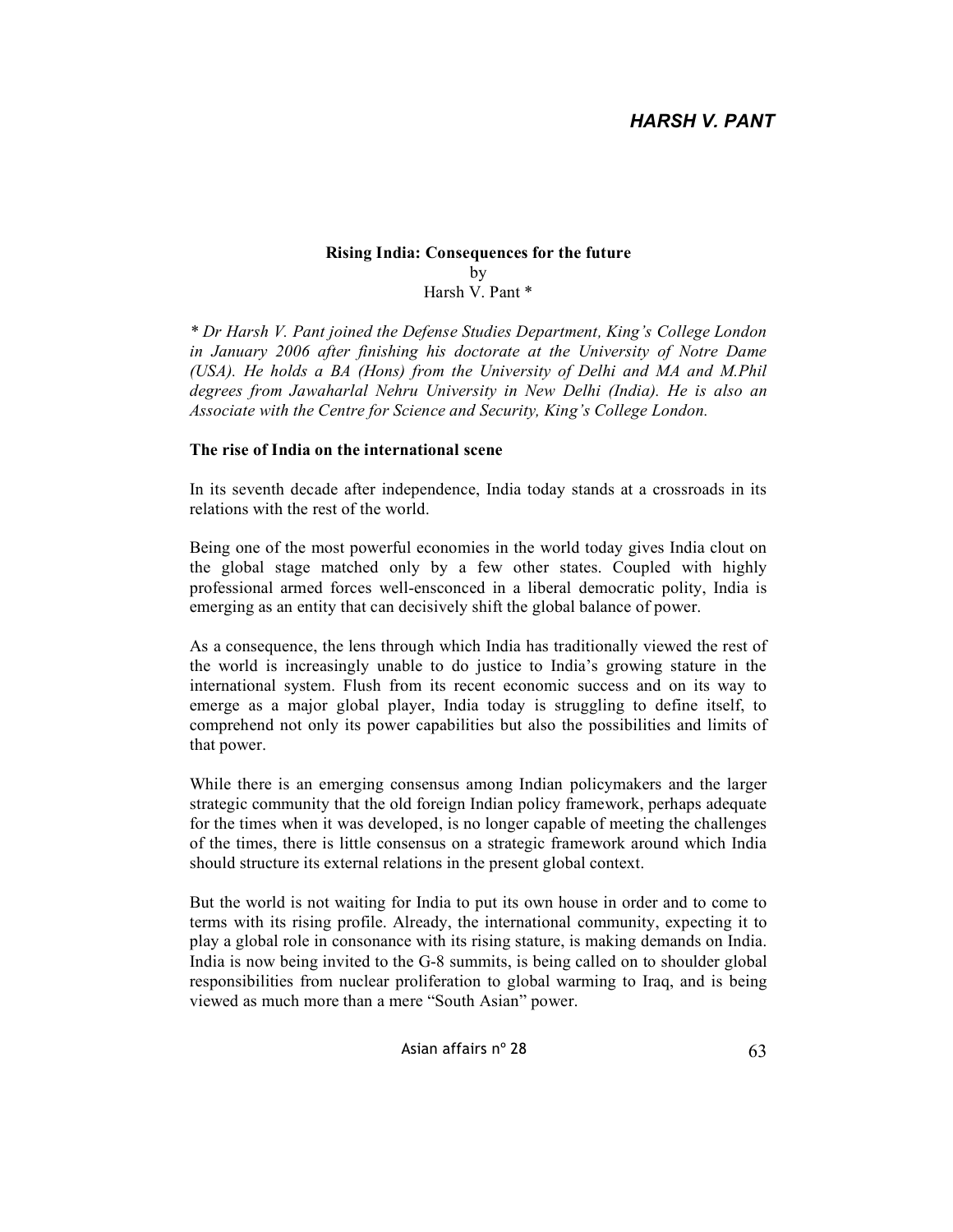#### **Rising India: Consequences for the future** by Harsh V. Pant \*

*\* Dr Harsh V. Pant joined the Defense Studies Department, King's College London in January 2006 after finishing his doctorate at the University of Notre Dame (USA). He holds a BA (Hons) from the University of Delhi and MA and M.Phil degrees from Jawaharlal Nehru University in New Delhi (India). He is also an Associate with the Centre for Science and Security, King's College London.* 

# **The rise of India on the international scene**

In its seventh decade after independence, India today stands at a crossroads in its relations with the rest of the world.

Being one of the most powerful economies in the world today gives India clout on the global stage matched only by a few other states. Coupled with highly professional armed forces well-ensconced in a liberal democratic polity, India is emerging as an entity that can decisively shift the global balance of power.

As a consequence, the lens through which India has traditionally viewed the rest of the world is increasingly unable to do justice to India's growing stature in the international system. Flush from its recent economic success and on its way to emerge as a major global player, India today is struggling to define itself, to comprehend not only its power capabilities but also the possibilities and limits of that power.

While there is an emerging consensus among Indian policymakers and the larger strategic community that the old foreign Indian policy framework, perhaps adequate for the times when it was developed, is no longer capable of meeting the challenges of the times, there is little consensus on a strategic framework around which India should structure its external relations in the present global context.

But the world is not waiting for India to put its own house in order and to come to terms with its rising profile. Already, the international community, expecting it to play a global role in consonance with its rising stature, is making demands on India. India is now being invited to the G-8 summits, is being called on to shoulder global responsibilities from nuclear proliferation to global warming to Iraq, and is being viewed as much more than a mere "South Asian" power.

Asian affairs n° 28 63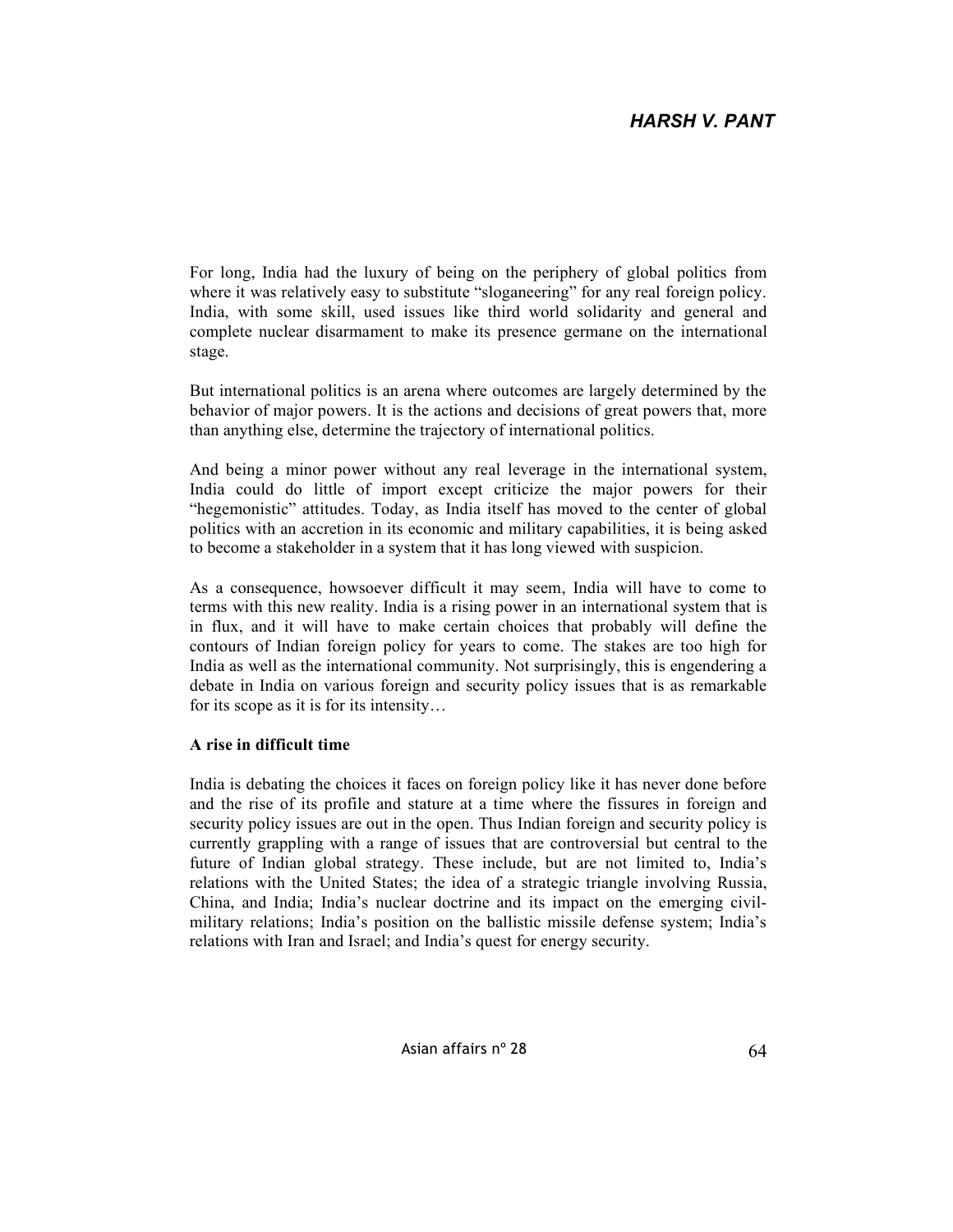For long, India had the luxury of being on the periphery of global politics from where it was relatively easy to substitute "sloganeering" for any real foreign policy. India, with some skill, used issues like third world solidarity and general and complete nuclear disarmament to make its presence germane on the international stage.

But international politics is an arena where outcomes are largely determined by the behavior of major powers. It is the actions and decisions of great powers that, more than anything else, determine the trajectory of international politics.

And being a minor power without any real leverage in the international system, India could do little of import except criticize the major powers for their "hegemonistic" attitudes. Today, as India itself has moved to the center of global politics with an accretion in its economic and military capabilities, it is being asked to become a stakeholder in a system that it has long viewed with suspicion.

As a consequence, howsoever difficult it may seem, India will have to come to terms with this new reality. India is a rising power in an international system that is in flux, and it will have to make certain choices that probably will define the contours of Indian foreign policy for years to come. The stakes are too high for India as well as the international community. Not surprisingly, this is engendering a debate in India on various foreign and security policy issues that is as remarkable for its scope as it is for its intensity…

### **A rise in difficult time**

India is debating the choices it faces on foreign policy like it has never done before and the rise of its profile and stature at a time where the fissures in foreign and security policy issues are out in the open. Thus Indian foreign and security policy is currently grappling with a range of issues that are controversial but central to the future of Indian global strategy. These include, but are not limited to, India's relations with the United States; the idea of a strategic triangle involving Russia, China, and India; India's nuclear doctrine and its impact on the emerging civilmilitary relations; India's position on the ballistic missile defense system; India's relations with Iran and Israel; and India's quest for energy security.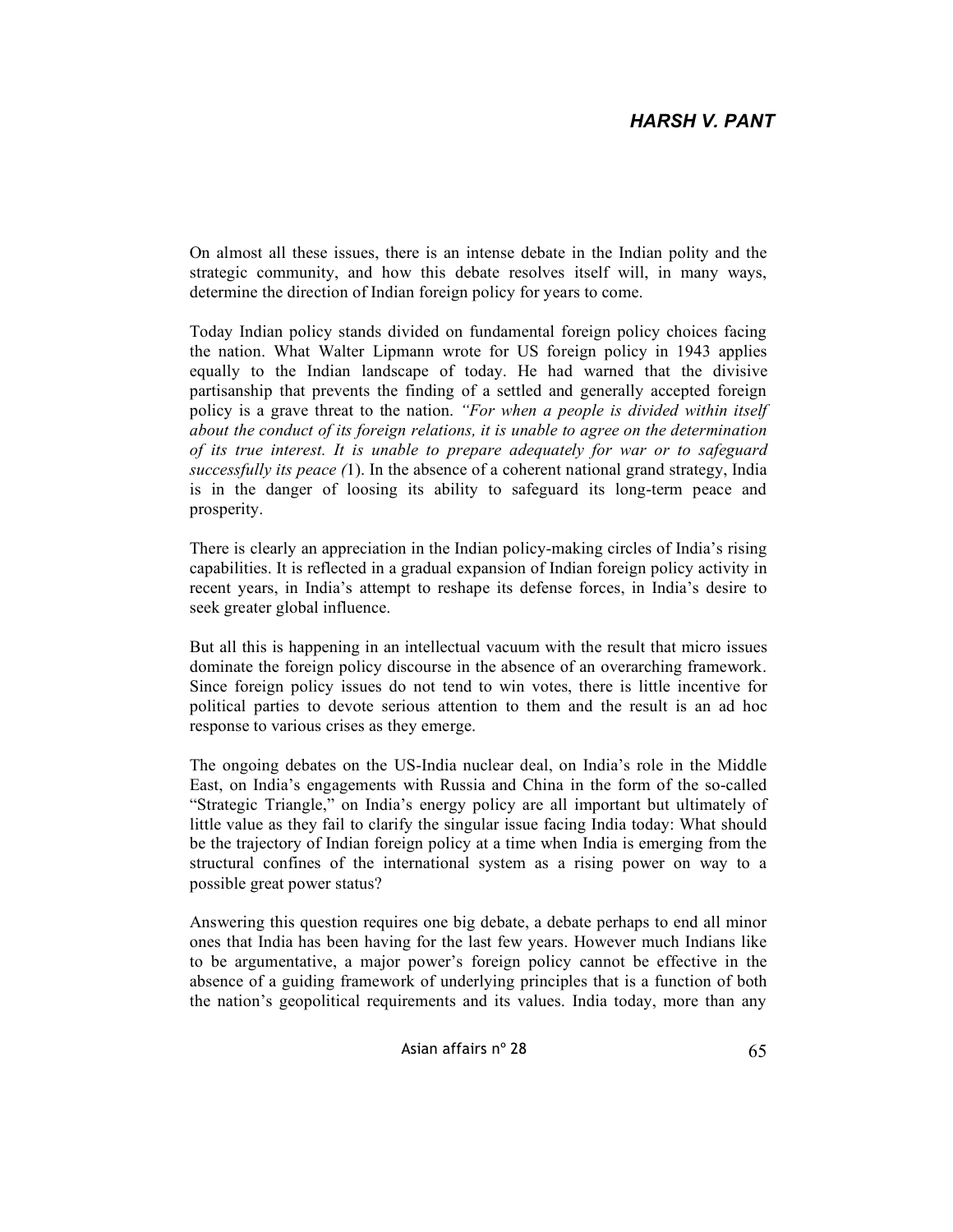On almost all these issues, there is an intense debate in the Indian polity and the strategic community, and how this debate resolves itself will, in many ways, determine the direction of Indian foreign policy for years to come.

Today Indian policy stands divided on fundamental foreign policy choices facing the nation. What Walter Lipmann wrote for US foreign policy in 1943 applies equally to the Indian landscape of today. He had warned that the divisive partisanship that prevents the finding of a settled and generally accepted foreign policy is a grave threat to the nation. *"For when a people is divided within itself about the conduct of its foreign relations, it is unable to agree on the determination of its true interest. It is unable to prepare adequately for war or to safeguard successfully its peace (*1). In the absence of a coherent national grand strategy, India is in the danger of loosing its ability to safeguard its long-term peace and prosperity.

There is clearly an appreciation in the Indian policy-making circles of India's rising capabilities. It is reflected in a gradual expansion of Indian foreign policy activity in recent years, in India's attempt to reshape its defense forces, in India's desire to seek greater global influence.

But all this is happening in an intellectual vacuum with the result that micro issues dominate the foreign policy discourse in the absence of an overarching framework. Since foreign policy issues do not tend to win votes, there is little incentive for political parties to devote serious attention to them and the result is an ad hoc response to various crises as they emerge.

The ongoing debates on the US-India nuclear deal, on India's role in the Middle East, on India's engagements with Russia and China in the form of the so-called "Strategic Triangle," on India's energy policy are all important but ultimately of little value as they fail to clarify the singular issue facing India today: What should be the trajectory of Indian foreign policy at a time when India is emerging from the structural confines of the international system as a rising power on way to a possible great power status?

Answering this question requires one big debate, a debate perhaps to end all minor ones that India has been having for the last few years. However much Indians like to be argumentative, a major power's foreign policy cannot be effective in the absence of a guiding framework of underlying principles that is a function of both the nation's geopolitical requirements and its values. India today, more than any

Asian affairs n° 28  $65$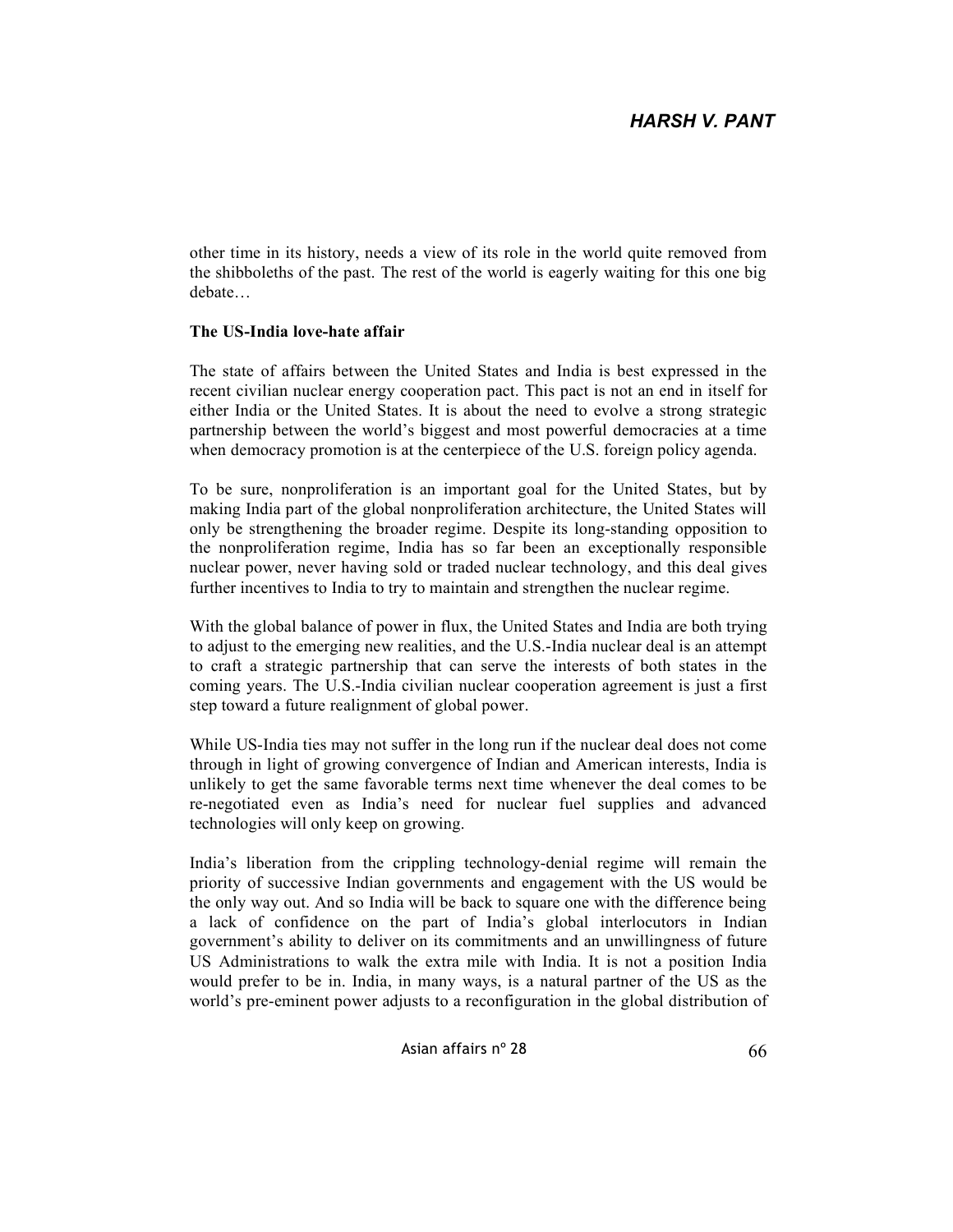other time in its history, needs a view of its role in the world quite removed from the shibboleths of the past. The rest of the world is eagerly waiting for this one big debate…

# **The US-India love-hate affair**

The state of affairs between the United States and India is best expressed in the recent civilian nuclear energy cooperation pact. This pact is not an end in itself for either India or the United States. It is about the need to evolve a strong strategic partnership between the world's biggest and most powerful democracies at a time when democracy promotion is at the centerpiece of the U.S. foreign policy agenda.

To be sure, nonproliferation is an important goal for the United States, but by making India part of the global nonproliferation architecture, the United States will only be strengthening the broader regime. Despite its long-standing opposition to the nonproliferation regime, India has so far been an exceptionally responsible nuclear power, never having sold or traded nuclear technology, and this deal gives further incentives to India to try to maintain and strengthen the nuclear regime.

With the global balance of power in flux, the United States and India are both trying to adjust to the emerging new realities, and the U.S.-India nuclear deal is an attempt to craft a strategic partnership that can serve the interests of both states in the coming years. The U.S.-India civilian nuclear cooperation agreement is just a first step toward a future realignment of global power.

While US-India ties may not suffer in the long run if the nuclear deal does not come through in light of growing convergence of Indian and American interests, India is unlikely to get the same favorable terms next time whenever the deal comes to be re-negotiated even as India's need for nuclear fuel supplies and advanced technologies will only keep on growing.

India's liberation from the crippling technology-denial regime will remain the priority of successive Indian governments and engagement with the US would be the only way out. And so India will be back to square one with the difference being a lack of confidence on the part of India's global interlocutors in Indian government's ability to deliver on its commitments and an unwillingness of future US Administrations to walk the extra mile with India. It is not a position India would prefer to be in. India, in many ways, is a natural partner of the US as the world's pre-eminent power adjusts to a reconfiguration in the global distribution of

Asian affairs  $n^{\circ}$  28 66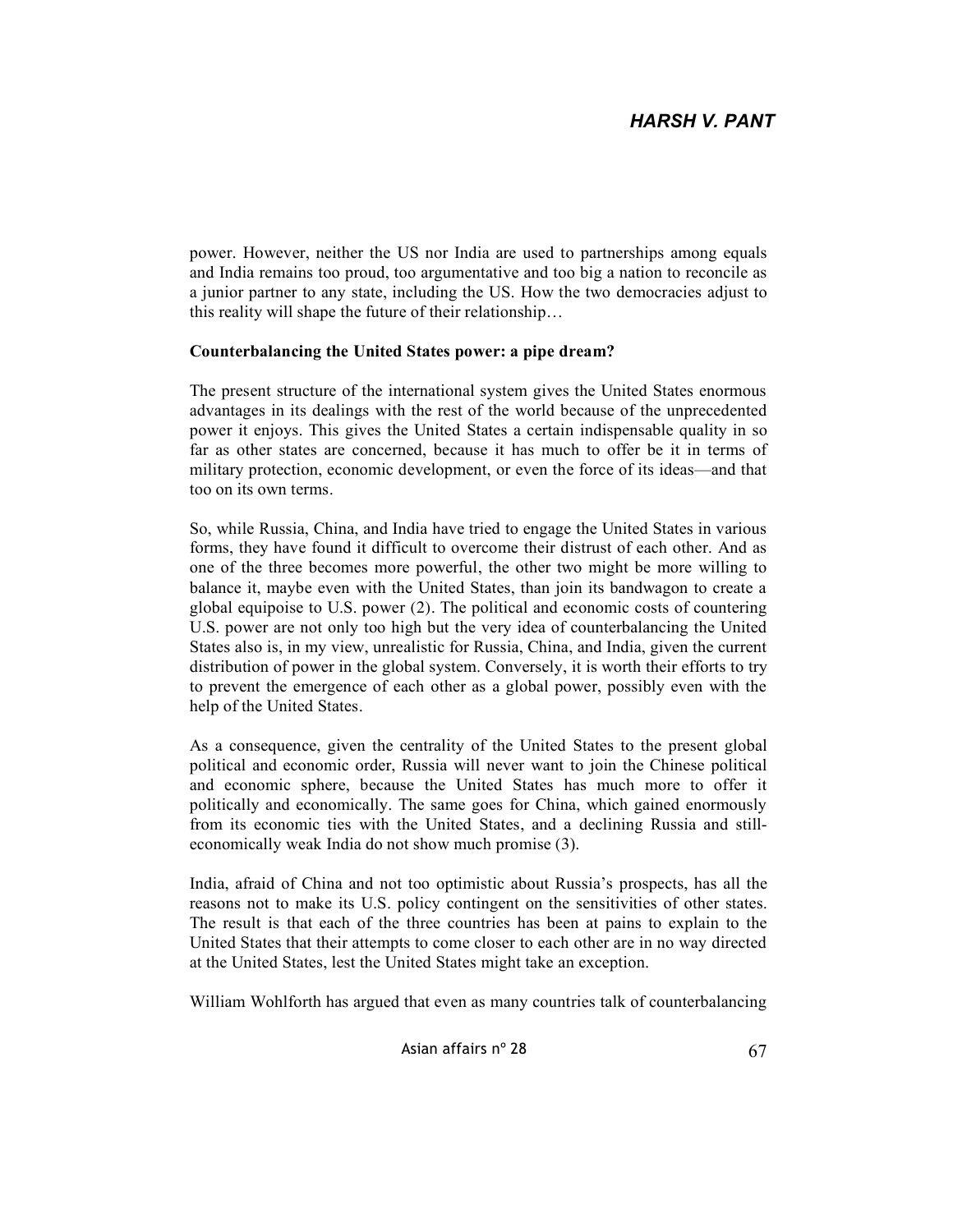power. However, neither the US nor India are used to partnerships among equals and India remains too proud, too argumentative and too big a nation to reconcile as a junior partner to any state, including the US. How the two democracies adjust to this reality will shape the future of their relationship…

# **Counterbalancing the United States power: a pipe dream?**

The present structure of the international system gives the United States enormous advantages in its dealings with the rest of the world because of the unprecedented power it enjoys. This gives the United States a certain indispensable quality in so far as other states are concerned, because it has much to offer be it in terms of military protection, economic development, or even the force of its ideas—and that too on its own terms.

So, while Russia, China, and India have tried to engage the United States in various forms, they have found it difficult to overcome their distrust of each other. And as one of the three becomes more powerful, the other two might be more willing to balance it, maybe even with the United States, than join its bandwagon to create a global equipoise to U.S. power (2). The political and economic costs of countering U.S. power are not only too high but the very idea of counterbalancing the United States also is, in my view, unrealistic for Russia, China, and India, given the current distribution of power in the global system. Conversely, it is worth their efforts to try to prevent the emergence of each other as a global power, possibly even with the help of the United States.

As a consequence, given the centrality of the United States to the present global political and economic order, Russia will never want to join the Chinese political and economic sphere, because the United States has much more to offer it politically and economically. The same goes for China, which gained enormously from its economic ties with the United States, and a declining Russia and stilleconomically weak India do not show much promise (3).

India, afraid of China and not too optimistic about Russia's prospects, has all the reasons not to make its U.S. policy contingent on the sensitivities of other states. The result is that each of the three countries has been at pains to explain to the United States that their attempts to come closer to each other are in no way directed at the United States, lest the United States might take an exception.

William Wohlforth has argued that even as many countries talk of counterbalancing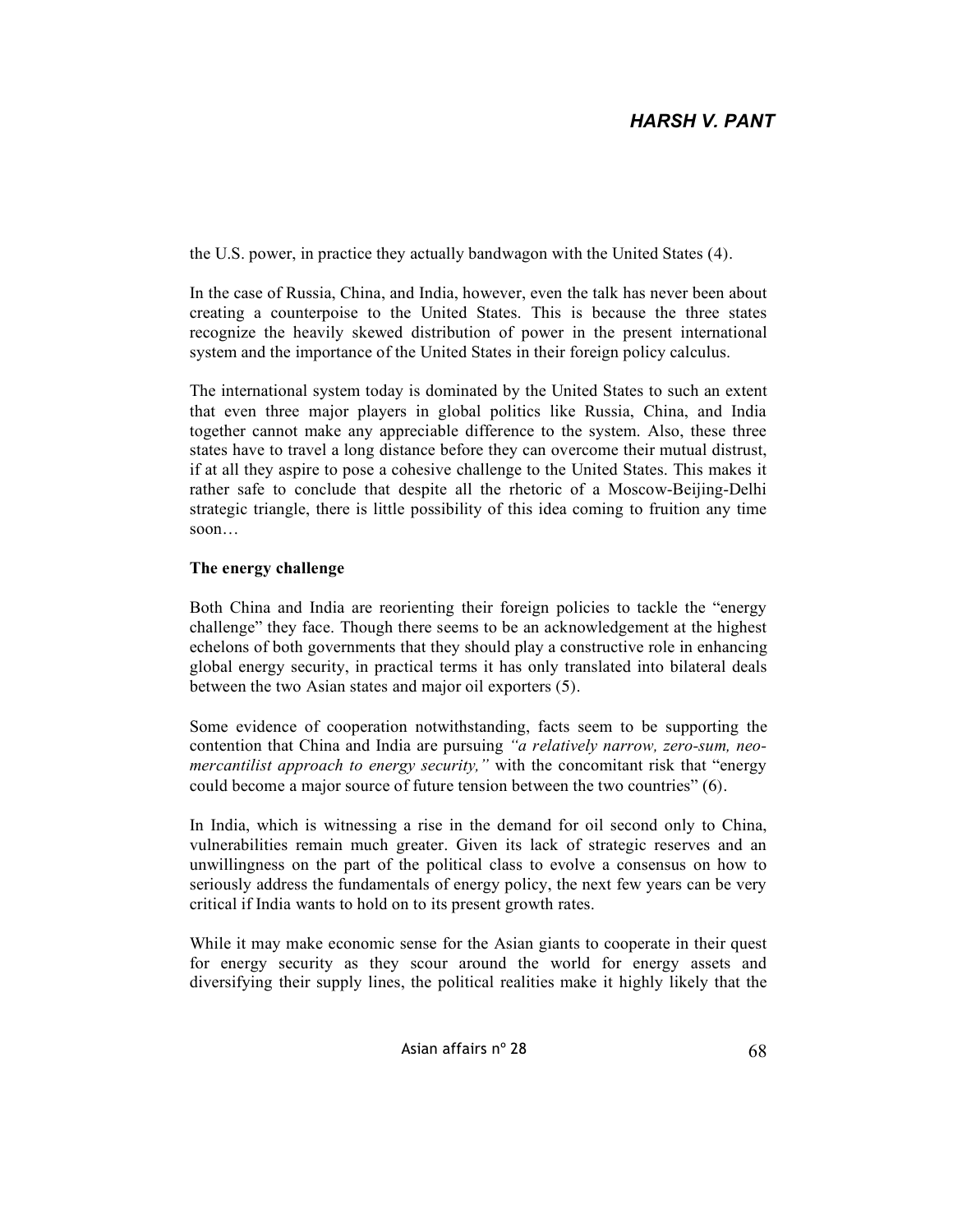# *HARSH V. PANT*

the U.S. power, in practice they actually bandwagon with the United States (4).

In the case of Russia, China, and India, however, even the talk has never been about creating a counterpoise to the United States. This is because the three states recognize the heavily skewed distribution of power in the present international system and the importance of the United States in their foreign policy calculus.

The international system today is dominated by the United States to such an extent that even three major players in global politics like Russia, China, and India together cannot make any appreciable difference to the system. Also, these three states have to travel a long distance before they can overcome their mutual distrust, if at all they aspire to pose a cohesive challenge to the United States. This makes it rather safe to conclude that despite all the rhetoric of a Moscow-Beijing-Delhi strategic triangle, there is little possibility of this idea coming to fruition any time soon…

### **The energy challenge**

Both China and India are reorienting their foreign policies to tackle the "energy challenge" they face. Though there seems to be an acknowledgement at the highest echelons of both governments that they should play a constructive role in enhancing global energy security, in practical terms it has only translated into bilateral deals between the two Asian states and major oil exporters (5).

Some evidence of cooperation notwithstanding, facts seem to be supporting the contention that China and India are pursuing *"a relatively narrow, zero-sum, neomercantilist approach to energy security,"* with the concomitant risk that "energy could become a major source of future tension between the two countries" (6).

In India, which is witnessing a rise in the demand for oil second only to China, vulnerabilities remain much greater. Given its lack of strategic reserves and an unwillingness on the part of the political class to evolve a consensus on how to seriously address the fundamentals of energy policy, the next few years can be very critical if India wants to hold on to its present growth rates.

While it may make economic sense for the Asian giants to cooperate in their quest for energy security as they scour around the world for energy assets and diversifying their supply lines, the political realities make it highly likely that the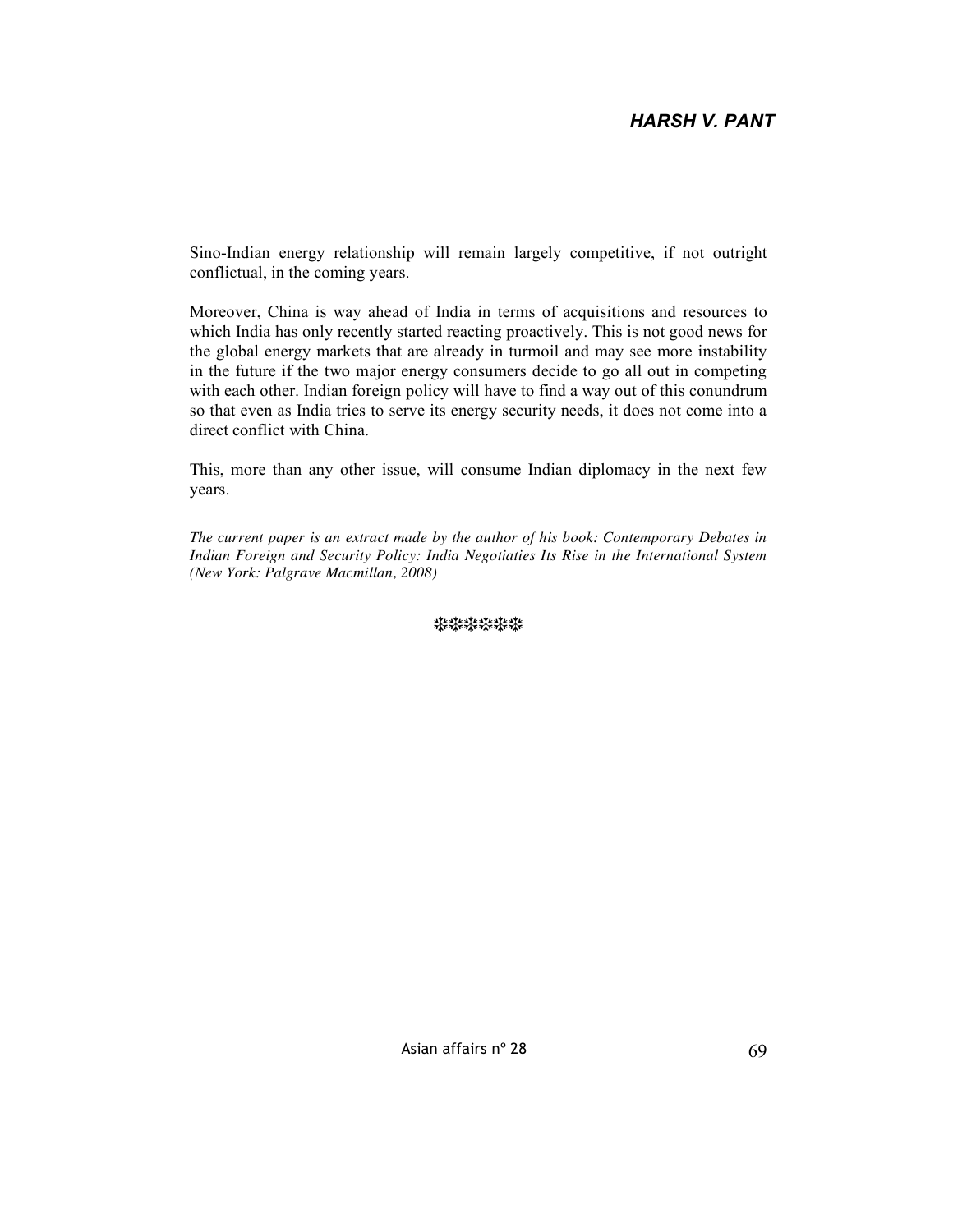# *HARSH V. PANT*

Sino-Indian energy relationship will remain largely competitive, if not outright conflictual, in the coming years.

Moreover, China is way ahead of India in terms of acquisitions and resources to which India has only recently started reacting proactively. This is not good news for the global energy markets that are already in turmoil and may see more instability in the future if the two major energy consumers decide to go all out in competing with each other. Indian foreign policy will have to find a way out of this conundrum so that even as India tries to serve its energy security needs, it does not come into a direct conflict with China.

This, more than any other issue, will consume Indian diplomacy in the next few years.

*The current paper is an extract made by the author of his book: Contemporary Debates in Indian Foreign and Security Policy: India Negotiaties Its Rise in the International System (New York: Palgrave Macmillan, 2008)*

#### ❆❆❆❆❆❆